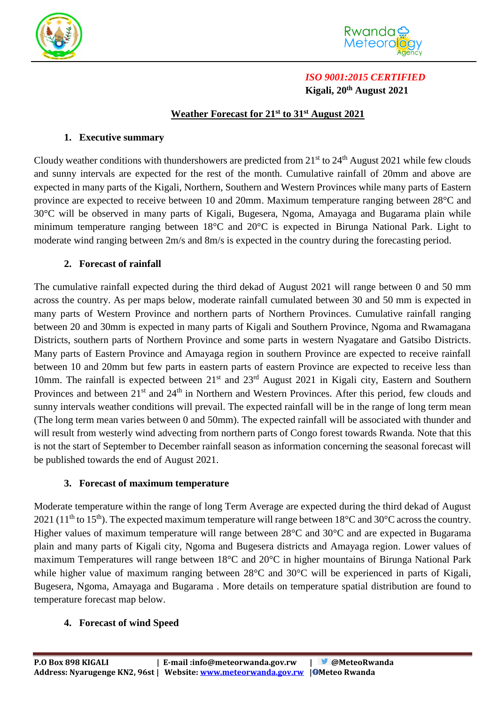



# *ISO 9001:2015 CERTIFIED*  **Kigali, 20 th August 2021**

## **Weather Forecast for 21 st to 31st August 2021**

### **1. Executive summary**

Cloudy weather conditions with thundershowers are predicted from  $21<sup>st</sup>$  to  $24<sup>th</sup>$  August 2021 while few clouds and sunny intervals are expected for the rest of the month. Cumulative rainfall of 20mm and above are expected in many parts of the Kigali, Northern, Southern and Western Provinces while many parts of Eastern province are expected to receive between 10 and 20mm. Maximum temperature ranging between 28°C and 30°C will be observed in many parts of Kigali, Bugesera, Ngoma, Amayaga and Bugarama plain while minimum temperature ranging between 18°C and 20°C is expected in Birunga National Park. Light to moderate wind ranging between 2m/s and 8m/s is expected in the country during the forecasting period.

### **2. Forecast of rainfall**

The cumulative rainfall expected during the third dekad of August 2021 will range between 0 and 50 mm across the country. As per maps below, moderate rainfall cumulated between 30 and 50 mm is expected in many parts of Western Province and northern parts of Northern Provinces. Cumulative rainfall ranging between 20 and 30mm is expected in many parts of Kigali and Southern Province, Ngoma and Rwamagana Districts, southern parts of Northern Province and some parts in western Nyagatare and Gatsibo Districts. Many parts of Eastern Province and Amayaga region in southern Province are expected to receive rainfall between 10 and 20mm but few parts in eastern parts of eastern Province are expected to receive less than 10mm. The rainfall is expected between  $21<sup>st</sup>$  and  $23<sup>rd</sup>$  August 2021 in Kigali city, Eastern and Southern Provinces and between 21<sup>st</sup> and 24<sup>th</sup> in Northern and Western Provinces. After this period, few clouds and sunny intervals weather conditions will prevail. The expected rainfall will be in the range of long term mean (The long term mean varies between 0 and 50mm). The expected rainfall will be associated with thunder and will result from westerly wind advecting from northern parts of Congo forest towards Rwanda. Note that this is not the start of September to December rainfall season as information concerning the seasonal forecast will be published towards the end of August 2021.

#### **3. Forecast of maximum temperature**

Moderate temperature within the range of long Term Average are expected during the third dekad of August 2021 (11<sup>th</sup> to 15<sup>th</sup>). The expected maximum temperature will range between 18<sup>o</sup>C and 30<sup>o</sup>C across the country. Higher values of maximum temperature will range between 28<sup>o</sup>C and 30<sup>o</sup>C and are expected in Bugarama plain and many parts of Kigali city, Ngoma and Bugesera districts and Amayaga region. Lower values of maximum Temperatures will range between 18°C and 20°C in higher mountains of Birunga National Park while higher value of maximum ranging between 28<sup>o</sup>C and 30<sup>o</sup>C will be experienced in parts of Kigali, Bugesera, Ngoma, Amayaga and Bugarama . More details on temperature spatial distribution are found to temperature forecast map below.

#### **4. Forecast of wind Speed**